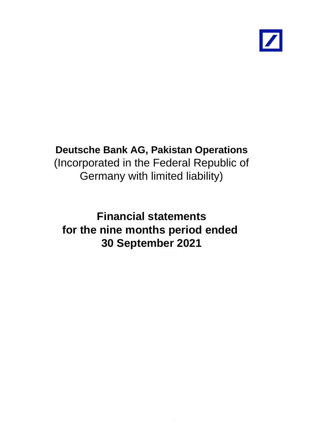

# **Deutsche Bank AG, Pakistan Operations** (Incorporated in the Federal Republic of Germany with limited liability)

**Financial statements for the nine months period ended 30 September 2021**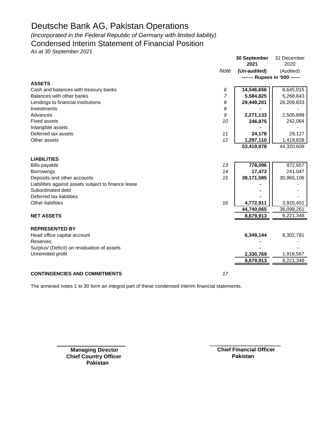*(Incorporated in the Federal Republic of Germany with limited liability)*

### Condensed Interim Statement of Financial Position

*As at 30 September 2021*

|                                                     |                | 30 September<br>2021 | 31 December<br>2020           |
|-----------------------------------------------------|----------------|----------------------|-------------------------------|
|                                                     | Note           | (Un-audited)         | (Audited)                     |
|                                                     |                |                      | ------- Rupees in '000 ------ |
| <b>ASSETS</b>                                       |                |                      |                               |
| Cash and balances with treasury banks               | 6              | 14,546,656           | 8,645,015                     |
| Balances with other banks                           | $\overline{7}$ | 5,584,825            | 5,268,843                     |
| Lendings to financial institutions                  | 8              | 29,449,201           | 26,209,833                    |
| Investments                                         | 8              |                      |                               |
| Advances                                            | 9              | 2,271,133            | 2,505,899                     |
| <b>Fixed assets</b>                                 | 10             | 246,875              | 242,064                       |
| Intangible assets                                   |                |                      |                               |
| Deferred tax assets                                 | 11             | 24,178               | 29,127                        |
| Other assets                                        | 12             | 1,297,110            | 1,419,828                     |
|                                                     |                | 53,419,978           | 44,320,609                    |
|                                                     |                |                      |                               |
| <b>LIABILITIES</b>                                  |                |                      |                               |
| <b>Bills payable</b>                                | 13             | 778,096              | 972,657                       |
| <b>Borrowings</b>                                   | 14             | 17,473               | 241,047                       |
| Deposits and other accounts                         | 15             | 39,171,585           | 30,965,106                    |
| Liabilities against assets subject to finance lease |                |                      |                               |
| Subordinated debt                                   |                |                      |                               |
| Deferred tax liabilities                            |                |                      |                               |
| Other liabilities                                   | 16             | 4,772,911            | 3,920,451                     |
|                                                     |                | 44,740,065           | 36,099,261                    |
| <b>NET ASSETS</b>                                   |                | 8,679,913            | 8,221,348                     |
|                                                     |                |                      |                               |
| <b>REPRESENTED BY</b>                               |                |                      |                               |
| Head office capital account                         |                | 6,349,144            | 6,302,781                     |
| Reserves                                            |                |                      |                               |
| Surplus/ (Deficit) on revaluation of assets         |                |                      |                               |
| Unremitted profit                                   |                | 2,330,769            | 1,918,567                     |
|                                                     |                | 8,679,913            | 8,221,348                     |
|                                                     |                |                      |                               |
| <b>CONTINGENCIES AND COMMITMENTS</b>                | 17             |                      |                               |

The annexed notes 1 to 30 form an integral part of these condensed interim financial statements.

**Chief Country Officer Pakistan** 

**Managing Director Chief Financial Officer Pakistan**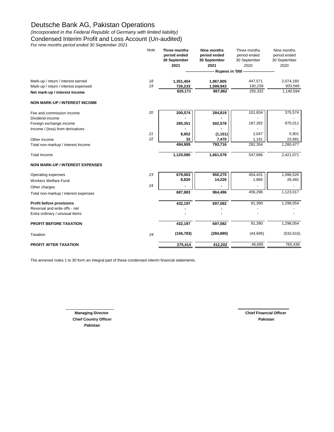*(Incorporated in the Federal Republic of Germany with limited liability)*

Condensed Interim Profit and Loss Account (Un-audited)

*For nine months period ended 30 September 2021*

|                                        | Note | Three months | Nine months  | Three months | Nine months  |
|----------------------------------------|------|--------------|--------------|--------------|--------------|
|                                        |      | period ended | period ended | period ended | period ended |
|                                        |      | 30 September | 30 September | 30 September | 30 September |
|                                        |      | 2021         | 2021         | 2020         | 2020         |
|                                        |      |              |              |              |              |
| Mark-up / return / interest earned     | 18   | 1,351,404    | 1,967,805    | 447,571      | 2,074,160    |
| Mark-up / return / interest expensed   | 19   | 726,233      | 1,099,943    | 192,239      | 933,566      |
| Net mark-up / interest income          |      | 625,171      | 867,862      | 255,332      | 1,140,594    |
| <b>NON MARK-UP / INTEREST INCOME</b>   |      |              |              |              |              |
| Fee and commission income              | 20   | 200,574      | 284,819      | 101,834      | 375,574      |
| Dividend income                        |      |              |              |              |              |
| Foreign exchange income                |      | 285,351      | 502,578      | 187,282      | 875,011      |
| Income / (loss) from derivatives       |      |              |              |              |              |
|                                        | 21   | 8,952        | (1, 151)     | 2,047        | 5,901        |
| Other income                           | 22   | 32           | 7,470        | 1,191        | 23,991       |
| Total non-markup / interest Income     |      | 494,909      | 793,716      | 292,354      | 1,280,477    |
| <b>Total Income</b>                    |      | 1,120,080    | 1,661,578    | 547,686      | 2,421,071    |
| <b>NON MARK-UP / INTEREST EXPENSES</b> |      |              |              |              |              |
| Operating expenses                     | 23   | 679,063      | 950,270      | 454,431      | 1,096,526    |
| <b>Workers Welfare Fund</b>            |      | 8,820        | 14,226       | 1,865        | 26,491       |
| Other charges                          | 24   |              |              |              |              |
| Total non-markup / interest expenses   |      | 687,883      | 964,496      | 456,296      | 1,123,017    |
| Profit before provisions               |      | 432,197      | 697,082      | 91,390       | 1,298,054    |
| Reversal and write offs - net          |      |              |              |              |              |
| Extra ordinary / unusual items         |      |              |              |              |              |
| PROFIT BEFORE TAXATION                 |      | 432,197      | 697,082      | 91,390       | 1,298,054    |
| Taxation                               | 24   | (156, 783)   | (284, 880)   | (44, 695)    | (532, 615)   |
| PROFIT AFTER TAXATION                  |      | 275,414      | 412,202      | 46,695       | 765,439      |
|                                        |      |              |              |              |              |

The annexed notes 1 to 30 form an integral part of these condensed interim financial statements.

**Chief Country Officer Pakistan Pakistan**

**Managing Director Chief Financial Officer**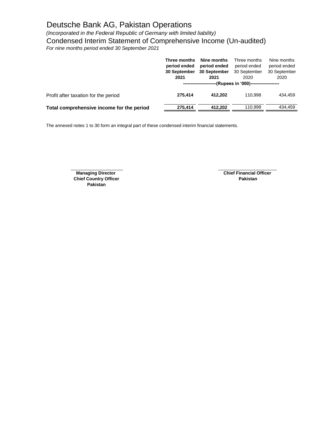*(Incorporated in the Federal Republic of Germany with limited liability)* Condensed Interim Statement of Comprehensive Income (Un-audited)

*For nine months period ended 30 September 2021*

|                                           | Three months<br>period ended<br>30 September<br>2021 | Nine months<br>period ended<br>30 September<br>2021<br>-----------------------(Rupees in '000)------------------- | Three months<br>period ended<br>30 September<br>2020 | Nine months<br>period ended<br>30 September<br>2020 |
|-------------------------------------------|------------------------------------------------------|-------------------------------------------------------------------------------------------------------------------|------------------------------------------------------|-----------------------------------------------------|
| Profit after taxation for the period      | 275.414                                              | 412.202                                                                                                           | 110.998                                              | 434.459                                             |
| Total comprehensive income for the period | 275.414                                              | 412.202                                                                                                           | 110.998                                              | 434.459                                             |

The annexed notes 1 to 30 form an integral part of these condensed interim financial statements.

**Chief Country Officer Pakistan Pakistan**

**Managing Director Chief Financial Officer**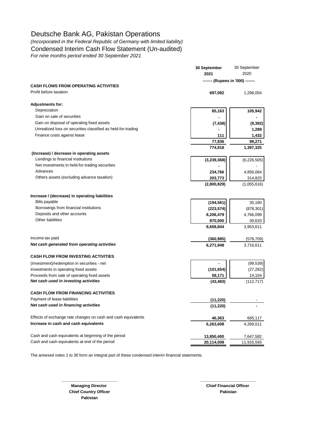### *(Incorporated in the Federal Republic of Germany with limited liability)*

Condensed Interim Cash Flow Statement (Un-audited)

*For nine months period ended 30 September 2021*

| 2020<br>2021<br>------- (Rupees in '000) -------<br><b>CASH FLOWS FROM OPERATING ACTIVITIES</b><br>Profit before taxation<br>697,082<br>1,298,054<br><b>Adjustments for:</b><br>Depreciation<br>85,163<br>Gain on sale of securities<br>Gain on disposal of operating fixed assets<br>(7, 438)<br>Unrealized loss on securities classified as held-for-trading<br>1,289<br>Finance costs against lease<br>111<br>77,836<br>99,271<br>774,918<br>1,397,325<br>(Increase) / decrease in operating assets<br>Lendings to financial institutions<br>(3,239,368)<br>Net investments in held-for-trading securities<br>Advances<br>234,766<br>4,856,064<br>Others assets (excluding advance taxation)<br>203,773<br>(2,800,829)<br>Increase / (decrease) in operating liabilities<br><b>Bills payable</b><br>(194, 561)<br>Borrowings from financial institutions<br>(223, 574)<br>Deposits and other accounts<br>8,206,479<br>4,766,099<br>Other liabilities<br>870,500<br>8,658,844<br>3,953,611<br>Income tax paid<br>(360, 985)<br>Net cash generated from operating activities<br>6,271,948<br>3,716,611<br><b>CASH FLOW FROM INVESTING ACTIVITIES</b><br>(Investment)/redemption in securities - net<br>(101, 654)<br>Investments in operating fixed assets<br>Proceeds from sale of operating fixed assets<br>58,171<br>Net cash used in investing activities<br>(43, 483)<br><b>CASH FLOW FROM FINANCING ACTIVITIES</b><br>Payment of lease liabilities<br>(11, 220)<br>Net cash used in financing activities<br>(11, 220)<br>Effects of exchange rate changes on cash and cash equivalents<br>46,363<br>Increase in cash and cash equivalents<br>6,263,608<br>4,269,011<br>Cash and cash equivalents at beginning of the period<br>13,850,400<br>7,647,582<br>Cash and cash equivalents at end of the period<br>20,114,008<br>11,916,593 | 30 September | 30 September |  |
|---------------------------------------------------------------------------------------------------------------------------------------------------------------------------------------------------------------------------------------------------------------------------------------------------------------------------------------------------------------------------------------------------------------------------------------------------------------------------------------------------------------------------------------------------------------------------------------------------------------------------------------------------------------------------------------------------------------------------------------------------------------------------------------------------------------------------------------------------------------------------------------------------------------------------------------------------------------------------------------------------------------------------------------------------------------------------------------------------------------------------------------------------------------------------------------------------------------------------------------------------------------------------------------------------------------------------------------------------------------------------------------------------------------------------------------------------------------------------------------------------------------------------------------------------------------------------------------------------------------------------------------------------------------------------------------------------------------------------------------------------------------------------------------------------------------------------------------------|--------------|--------------|--|
|                                                                                                                                                                                                                                                                                                                                                                                                                                                                                                                                                                                                                                                                                                                                                                                                                                                                                                                                                                                                                                                                                                                                                                                                                                                                                                                                                                                                                                                                                                                                                                                                                                                                                                                                                                                                                                             |              |              |  |
|                                                                                                                                                                                                                                                                                                                                                                                                                                                                                                                                                                                                                                                                                                                                                                                                                                                                                                                                                                                                                                                                                                                                                                                                                                                                                                                                                                                                                                                                                                                                                                                                                                                                                                                                                                                                                                             |              |              |  |
|                                                                                                                                                                                                                                                                                                                                                                                                                                                                                                                                                                                                                                                                                                                                                                                                                                                                                                                                                                                                                                                                                                                                                                                                                                                                                                                                                                                                                                                                                                                                                                                                                                                                                                                                                                                                                                             |              |              |  |
|                                                                                                                                                                                                                                                                                                                                                                                                                                                                                                                                                                                                                                                                                                                                                                                                                                                                                                                                                                                                                                                                                                                                                                                                                                                                                                                                                                                                                                                                                                                                                                                                                                                                                                                                                                                                                                             |              |              |  |
|                                                                                                                                                                                                                                                                                                                                                                                                                                                                                                                                                                                                                                                                                                                                                                                                                                                                                                                                                                                                                                                                                                                                                                                                                                                                                                                                                                                                                                                                                                                                                                                                                                                                                                                                                                                                                                             |              |              |  |
|                                                                                                                                                                                                                                                                                                                                                                                                                                                                                                                                                                                                                                                                                                                                                                                                                                                                                                                                                                                                                                                                                                                                                                                                                                                                                                                                                                                                                                                                                                                                                                                                                                                                                                                                                                                                                                             |              | 105,942      |  |
|                                                                                                                                                                                                                                                                                                                                                                                                                                                                                                                                                                                                                                                                                                                                                                                                                                                                                                                                                                                                                                                                                                                                                                                                                                                                                                                                                                                                                                                                                                                                                                                                                                                                                                                                                                                                                                             |              |              |  |
|                                                                                                                                                                                                                                                                                                                                                                                                                                                                                                                                                                                                                                                                                                                                                                                                                                                                                                                                                                                                                                                                                                                                                                                                                                                                                                                                                                                                                                                                                                                                                                                                                                                                                                                                                                                                                                             |              | (9, 392)     |  |
|                                                                                                                                                                                                                                                                                                                                                                                                                                                                                                                                                                                                                                                                                                                                                                                                                                                                                                                                                                                                                                                                                                                                                                                                                                                                                                                                                                                                                                                                                                                                                                                                                                                                                                                                                                                                                                             |              |              |  |
|                                                                                                                                                                                                                                                                                                                                                                                                                                                                                                                                                                                                                                                                                                                                                                                                                                                                                                                                                                                                                                                                                                                                                                                                                                                                                                                                                                                                                                                                                                                                                                                                                                                                                                                                                                                                                                             |              | 1,432        |  |
|                                                                                                                                                                                                                                                                                                                                                                                                                                                                                                                                                                                                                                                                                                                                                                                                                                                                                                                                                                                                                                                                                                                                                                                                                                                                                                                                                                                                                                                                                                                                                                                                                                                                                                                                                                                                                                             |              |              |  |
|                                                                                                                                                                                                                                                                                                                                                                                                                                                                                                                                                                                                                                                                                                                                                                                                                                                                                                                                                                                                                                                                                                                                                                                                                                                                                                                                                                                                                                                                                                                                                                                                                                                                                                                                                                                                                                             |              |              |  |
|                                                                                                                                                                                                                                                                                                                                                                                                                                                                                                                                                                                                                                                                                                                                                                                                                                                                                                                                                                                                                                                                                                                                                                                                                                                                                                                                                                                                                                                                                                                                                                                                                                                                                                                                                                                                                                             |              |              |  |
|                                                                                                                                                                                                                                                                                                                                                                                                                                                                                                                                                                                                                                                                                                                                                                                                                                                                                                                                                                                                                                                                                                                                                                                                                                                                                                                                                                                                                                                                                                                                                                                                                                                                                                                                                                                                                                             |              | (6,226,505)  |  |
|                                                                                                                                                                                                                                                                                                                                                                                                                                                                                                                                                                                                                                                                                                                                                                                                                                                                                                                                                                                                                                                                                                                                                                                                                                                                                                                                                                                                                                                                                                                                                                                                                                                                                                                                                                                                                                             |              |              |  |
|                                                                                                                                                                                                                                                                                                                                                                                                                                                                                                                                                                                                                                                                                                                                                                                                                                                                                                                                                                                                                                                                                                                                                                                                                                                                                                                                                                                                                                                                                                                                                                                                                                                                                                                                                                                                                                             |              |              |  |
|                                                                                                                                                                                                                                                                                                                                                                                                                                                                                                                                                                                                                                                                                                                                                                                                                                                                                                                                                                                                                                                                                                                                                                                                                                                                                                                                                                                                                                                                                                                                                                                                                                                                                                                                                                                                                                             |              | 314,825      |  |
|                                                                                                                                                                                                                                                                                                                                                                                                                                                                                                                                                                                                                                                                                                                                                                                                                                                                                                                                                                                                                                                                                                                                                                                                                                                                                                                                                                                                                                                                                                                                                                                                                                                                                                                                                                                                                                             |              | (1,055,616)  |  |
|                                                                                                                                                                                                                                                                                                                                                                                                                                                                                                                                                                                                                                                                                                                                                                                                                                                                                                                                                                                                                                                                                                                                                                                                                                                                                                                                                                                                                                                                                                                                                                                                                                                                                                                                                                                                                                             |              |              |  |
|                                                                                                                                                                                                                                                                                                                                                                                                                                                                                                                                                                                                                                                                                                                                                                                                                                                                                                                                                                                                                                                                                                                                                                                                                                                                                                                                                                                                                                                                                                                                                                                                                                                                                                                                                                                                                                             |              | 35,180       |  |
|                                                                                                                                                                                                                                                                                                                                                                                                                                                                                                                                                                                                                                                                                                                                                                                                                                                                                                                                                                                                                                                                                                                                                                                                                                                                                                                                                                                                                                                                                                                                                                                                                                                                                                                                                                                                                                             |              | (878, 301)   |  |
|                                                                                                                                                                                                                                                                                                                                                                                                                                                                                                                                                                                                                                                                                                                                                                                                                                                                                                                                                                                                                                                                                                                                                                                                                                                                                                                                                                                                                                                                                                                                                                                                                                                                                                                                                                                                                                             |              |              |  |
|                                                                                                                                                                                                                                                                                                                                                                                                                                                                                                                                                                                                                                                                                                                                                                                                                                                                                                                                                                                                                                                                                                                                                                                                                                                                                                                                                                                                                                                                                                                                                                                                                                                                                                                                                                                                                                             |              | 30,633       |  |
|                                                                                                                                                                                                                                                                                                                                                                                                                                                                                                                                                                                                                                                                                                                                                                                                                                                                                                                                                                                                                                                                                                                                                                                                                                                                                                                                                                                                                                                                                                                                                                                                                                                                                                                                                                                                                                             |              |              |  |
|                                                                                                                                                                                                                                                                                                                                                                                                                                                                                                                                                                                                                                                                                                                                                                                                                                                                                                                                                                                                                                                                                                                                                                                                                                                                                                                                                                                                                                                                                                                                                                                                                                                                                                                                                                                                                                             |              | (578, 709)   |  |
|                                                                                                                                                                                                                                                                                                                                                                                                                                                                                                                                                                                                                                                                                                                                                                                                                                                                                                                                                                                                                                                                                                                                                                                                                                                                                                                                                                                                                                                                                                                                                                                                                                                                                                                                                                                                                                             |              |              |  |
|                                                                                                                                                                                                                                                                                                                                                                                                                                                                                                                                                                                                                                                                                                                                                                                                                                                                                                                                                                                                                                                                                                                                                                                                                                                                                                                                                                                                                                                                                                                                                                                                                                                                                                                                                                                                                                             |              |              |  |
|                                                                                                                                                                                                                                                                                                                                                                                                                                                                                                                                                                                                                                                                                                                                                                                                                                                                                                                                                                                                                                                                                                                                                                                                                                                                                                                                                                                                                                                                                                                                                                                                                                                                                                                                                                                                                                             |              | (99, 539)    |  |
|                                                                                                                                                                                                                                                                                                                                                                                                                                                                                                                                                                                                                                                                                                                                                                                                                                                                                                                                                                                                                                                                                                                                                                                                                                                                                                                                                                                                                                                                                                                                                                                                                                                                                                                                                                                                                                             |              | (27, 282)    |  |
|                                                                                                                                                                                                                                                                                                                                                                                                                                                                                                                                                                                                                                                                                                                                                                                                                                                                                                                                                                                                                                                                                                                                                                                                                                                                                                                                                                                                                                                                                                                                                                                                                                                                                                                                                                                                                                             |              | 14,104       |  |
|                                                                                                                                                                                                                                                                                                                                                                                                                                                                                                                                                                                                                                                                                                                                                                                                                                                                                                                                                                                                                                                                                                                                                                                                                                                                                                                                                                                                                                                                                                                                                                                                                                                                                                                                                                                                                                             |              | (112, 717)   |  |
|                                                                                                                                                                                                                                                                                                                                                                                                                                                                                                                                                                                                                                                                                                                                                                                                                                                                                                                                                                                                                                                                                                                                                                                                                                                                                                                                                                                                                                                                                                                                                                                                                                                                                                                                                                                                                                             |              |              |  |
|                                                                                                                                                                                                                                                                                                                                                                                                                                                                                                                                                                                                                                                                                                                                                                                                                                                                                                                                                                                                                                                                                                                                                                                                                                                                                                                                                                                                                                                                                                                                                                                                                                                                                                                                                                                                                                             |              |              |  |
|                                                                                                                                                                                                                                                                                                                                                                                                                                                                                                                                                                                                                                                                                                                                                                                                                                                                                                                                                                                                                                                                                                                                                                                                                                                                                                                                                                                                                                                                                                                                                                                                                                                                                                                                                                                                                                             |              |              |  |
|                                                                                                                                                                                                                                                                                                                                                                                                                                                                                                                                                                                                                                                                                                                                                                                                                                                                                                                                                                                                                                                                                                                                                                                                                                                                                                                                                                                                                                                                                                                                                                                                                                                                                                                                                                                                                                             |              | 665,117      |  |
|                                                                                                                                                                                                                                                                                                                                                                                                                                                                                                                                                                                                                                                                                                                                                                                                                                                                                                                                                                                                                                                                                                                                                                                                                                                                                                                                                                                                                                                                                                                                                                                                                                                                                                                                                                                                                                             |              |              |  |
|                                                                                                                                                                                                                                                                                                                                                                                                                                                                                                                                                                                                                                                                                                                                                                                                                                                                                                                                                                                                                                                                                                                                                                                                                                                                                                                                                                                                                                                                                                                                                                                                                                                                                                                                                                                                                                             |              |              |  |
|                                                                                                                                                                                                                                                                                                                                                                                                                                                                                                                                                                                                                                                                                                                                                                                                                                                                                                                                                                                                                                                                                                                                                                                                                                                                                                                                                                                                                                                                                                                                                                                                                                                                                                                                                                                                                                             |              |              |  |

**\_\_\_\_\_\_\_\_\_\_\_\_\_\_\_\_\_\_\_\_\_\_\_\_\_ \_\_\_\_\_\_\_\_\_\_\_\_\_\_\_\_\_\_\_\_\_\_\_\_\_**

The annexed notes 1 to 30 form an integral part of these condensed interim financial statements.

**Chief Country Officer Pakistan Pakistan**

**Managing Director Chief Financial Officer Chief Financial Officer**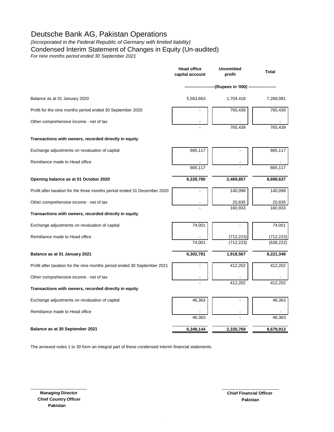### *(Incorporated in the Federal Republic of Germany with limited liability)*

Condensed Interim Statement of Changes in Equity (Un-audited)

*For nine months period ended 30 September 2021*

|                                                                          | <b>Head office</b><br>capital account | <b>Unremitted</b><br>profit     | <b>Total</b>             |
|--------------------------------------------------------------------------|---------------------------------------|---------------------------------|--------------------------|
|                                                                          |                                       | --------(Rupees in '000) ------ |                          |
| Balance as at 01 January 2020                                            | 5,563,663                             | 1,704,418                       | 7,268,081                |
| Profit for the nine months period ended 30 September 2020                |                                       | 765,439                         | 765,439                  |
| Other comprehensive income - net of tax                                  |                                       | 765,439                         | 765,439                  |
| Transactions with owners, recorded directly in equity                    |                                       |                                 |                          |
| Exchange adjustments on revaluation of capital                           | 665,117                               |                                 | 665,117                  |
| Remittance made to Head office                                           |                                       |                                 |                          |
|                                                                          | 665,117                               |                                 | 665,117                  |
| Opening balance as at 01 October 2020                                    | 6,228,780                             | 2,469,857                       | 8,698,637                |
| Profit after taxation for the three months period ended 31 December 2020 |                                       | 140,098                         | 140,098                  |
| Other comprehensive income - net of tax                                  |                                       | 20,835<br>160,933               | 20,835<br>160,933        |
| Transactions with owners, recorded directly in equity                    |                                       |                                 |                          |
| Exchange adjustments on revaluation of capital                           | 74,001                                |                                 | 74,001                   |
| Remittance made to Head office                                           | 74,001                                | (712, 223)<br>(712, 223)        | (712, 223)<br>(638, 222) |
|                                                                          |                                       |                                 |                          |
| Balance as at 01 January 2021                                            | 6,302,781                             | 1,918,567                       | 8,221,348                |
| Profit after taxation for the nine months period ended 30 September 2021 |                                       | 412,202                         | 412,202                  |
| Other comprehensive income - net of tax                                  |                                       |                                 |                          |
| Transactions with owners, recorded directly in equity                    |                                       | 412,202                         | 412,202                  |
| Exchange adjustments on revaluation of capital                           | 46,363                                |                                 | 46,363                   |
| Remittance made to Head office                                           | 46,363                                |                                 |                          |
|                                                                          |                                       |                                 | 46,363                   |
| Balance as at 30 September 2021                                          | 6,349,144                             | 2,330,769                       | 8,679,913                |

The annexed notes 1 to 30 form an integral part of these condensed interim financial statements.

\_\_\_\_\_\_\_\_\_\_\_\_\_\_\_\_\_\_\_\_\_\_\_\_ \_\_\_\_\_\_\_\_\_\_\_\_\_\_\_\_\_\_\_\_\_\_\_\_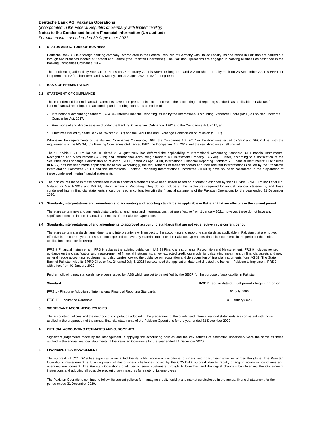#### *(Incorporated in the Federal Republic of Germany with limited liability)* **Notes to the Condensed Interim Financial Information (Un-audited)**

*For nine months period ended 30 September 2021*

#### **1. STATUS AND NATURE OF BUSINESS**

Deutsche Bank AG is a foreign banking company incorporated in the Federal Republic of Germany with limited liability. Its operations in Pakistan are carried out through two branches located at Karachi and Lahore ('the Pakistan Operations'). The Pakistan Operations are engaged in banking business as described in the Banking Companies Ordinance, 1962.

The credit rating affirmed by Standard & Poor's on 26 February 2021 is BBB+ for long-term and A-2 for short-term, by Fitch on 23 September 2021 is BBB+ for long-term and F2 for short-term; and by Moody's on 04 August 2021 is A2 for long-term.

#### **2 BASIS OF PRESENTATION**

#### **2.1 STATEMENT OF COMPLIANCE**

These condensed interim financial statements have been prepared in accordance with the accounting and reporting standards as applicable in Pakistan for<br>interim financial reporting. The accounting and reporting standards co

- **-** International Accounting Standard (IAS) 34 - Interim Financial Reporting issued by the International Accounting Standards Board (IASB) as notified under the Companies Act, 2017;
- **-** Provisions of and directives issued under the Banking Companies Ordinance, 1962 and the Companies Act, 2017; and
- **-** Directives issued by State Bank of Pakistan (SBP) and the Securities and Exchange Commission of Pakistan (SECP).

Whenever the requirements of the Banking Companies Ordinance, 1962, the Companies Act, 2017 or the directives issued by SBP and SECP differ with the requirements of the IAS 34, the Banking Companies Ordinance, 1962, the Companies Act, 2017 and the said directives shall prevail.

The SBP vide BSD Circular No. 10 dated 26 August 2002 has deferred the applicability of International Accounting Standard 39, Financial Instruments: Recognition and Measurement (IAS 39) and International Accounting Standard 40, Investment Property (IAS 40). Further, according to a notification of the Securities and Exchange Commission of Pakistan (SECP) dated 28 April 2008, International Financial Reporting Standard 7, Financial Instruments: Disclosures (IFRS 7) has not been made applicable for banks. Accordingly, the requirements of these standards and their relevant interpretations (issued by the Standards Interpretation Committee - SICs and the International Financial Reporting Interpretations Committee - IFRICs) have not been considered in the preparation of these condensed interim financial statements.

**2.2** The disclosures made in these condensed interim financial statements have been limited based on a format prescribed by the SBP vide BPRD Circular Letter No. 5 dated 22 March 2019 and IAS 34, Interim Financial Reporting. They do not include all the disclosures required for annual financial statements, and these condensed interim financial statements should be read in conjunction with the financial statements of the Pakistan Operations for the year ended 31 December 2020.

#### **2.3 Standards, interpretations and amendments to accounting and reporting standards as applicable in Pakistan that are effective in the current period**

There are certain new and ammended standards, amendments and interpretations that are effective from 1 January 2021; however, these do not have any significant effect on interim financial statements of the Pakistan Operations.

#### **2.4 Standards, interpretations of and amendments to approved accounting standards that are not yet effective in the current period**

There are certain standards, amendments and interpretations with respect to the accounting and reporting standards as applicable in Pakistan that are not yet effective in the current year. These are not expected to have any material impact on the Pakistan Operations' financial statements in the period of their initial application execpt for following:

IFRS 9 'Financial instruments' - IFRS 9 replaces the existing guidance in IAS 39 Financial Instruments: Recognition and Measurement. IFRS 9 includes revised guidance on the classification and measurement of financial instruments, a new expected credit loss model for calculating impairment on financial assets and new general hedge accounting requirements. It also carries forward the guidance on recognition and derecognition of financial instruments from IAS 39. The State Bank of Pakistan, vide its BPRD Circular No. 24 dated July 5, 2021 has extended the application date and directed the banks in Pakistan to implement IFRS 9 with effect from 01 January 2022.

Further, following new standards have been issued by IASB which are yet to be notified by the SECP for the purpose of applicability in Pakistan:

| <b>Standard</b>                                                             | IASB Effective date (annual periods beginning on or |
|-----------------------------------------------------------------------------|-----------------------------------------------------|
| IFRS 1 - First-time Adoption of International Financial Reporting Standards | 01 July 2009                                        |
| IFRS 17 - Insurance Contracts                                               | 01 January 2023                                     |
|                                                                             |                                                     |

#### **3 SIGNIFICANT ACCOUNTING POLICIES**

The accounting policies and the methods of computation adopted in the preparation of the condensed interim financial statements are consistent with those applied in the preparation of the annual financial statements of the Pakistan Operations for the year ended 31 December 2020.

#### **4 CRITICAL ACCOUNTING ESTIMATES AND JUDGMENTS**

Significant judgements made by the management in applying the accounting policies and the key sources of estimation uncertainty were the same as those applied in the annual financial statements of the Pakistan Operations for the year ended 31 December 2020.

#### **5 FINANCIAL RISK MANAGEMENT**

The outbreak of COVID-19 has significantly impacted the daily life, economic conditions, business and consumers' activities across the globe. The Pakistan Operation's management is fully cognisant of the business challenges posed by the COVID-19 outbreak due to rapidly changing economic conditions and operating environment. The Pakistan Operations continues to serve customers through its branches and the digital channels by observing the Government instructions and adopting all possible precautionary measures for safety of its employees.

The Pakistan Operations continue to follow its current policies for managing credit, liquidity and market as disclosed in the annual financial statement for the period ended 31 December 2020.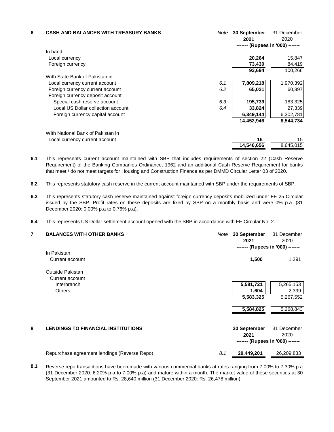| 6 | <b>CASH AND BALANCES WITH TREASURY BANKS</b> | Note | <b>30 September</b><br>2021 | 31 December<br>2020              |
|---|----------------------------------------------|------|-----------------------------|----------------------------------|
|   |                                              |      |                             | ------- (Rupees in '000) ------- |
|   | In hand                                      |      |                             |                                  |
|   | Local currency                               |      | 20,264                      | 15,847                           |
|   | Foreign currency                             |      | 73,430                      | 84,419                           |
|   |                                              |      | 93,694                      | 100,266                          |
|   | With State Bank of Pakistan in               |      |                             |                                  |
|   | Local currency current account               | 6.1  | 7,809,218                   | 1,970,392                        |
|   | Foreign currency current account             | 6.2  | 65,021                      | 60,897                           |
|   | Foreign currency deposit account             |      |                             |                                  |
|   | Special cash reserve account                 | 6.3  | 195,739                     | 183,325                          |
|   | Local US Dollar collection account           | 6.4  | 33,824                      | 27,339                           |
|   | Foreign currency capital account             |      | 6,349,144                   | 6,302,781                        |
|   |                                              |      | 14,452,946                  | 8,544,734                        |
|   | With National Bank of Pakistan in            |      |                             |                                  |
|   | Local currency current account               |      | 16                          | 15                               |
|   |                                              |      | 14,546,656                  | 8,645,015                        |

**6.1** This represents current account maintained with SBP that includes requirements of section 22 (Cash Reserve Requirement) of the Banking Companies Ordinance, 1962 and an additional Cash Reserve Requirement for banks that meet / do not meet targets for Housing and Construction Finance as per DMMD Circular Letter 03 of 2020.

- **6.2** This represents statutory cash reserve in the current account maintained with SBP under the requirements of SBP.
- **6.3** This represents statutory cash reserve maintained against foreign currency deposits mobilized under FE 25 Circular issued by the SBP. Profit rates on these deposits are fixed by SBP on a monthly basis and were 0% p.a (31 December 2020: 0.00% p.a to 0.76% p.a).
- **6.4** This represents US Dollar settlement account opened with the SBP in accordance with FE Circular No. 2.

| 7 | <b>BALANCES WITH OTHER BANKS</b>             | Note | 30 September<br>2021<br>------- (Rupees in '000) ------- | 31 December<br>2020 |
|---|----------------------------------------------|------|----------------------------------------------------------|---------------------|
|   | In Pakistan                                  |      |                                                          |                     |
|   | Current account                              |      | 1,500                                                    | 1,291               |
|   | Outside Pakistan                             |      |                                                          |                     |
|   | Current account                              |      |                                                          |                     |
|   | Interbranch                                  |      | 5,581,721                                                | 5,265,153           |
|   | <b>Others</b>                                |      | 1,604                                                    | 2,399               |
|   |                                              |      | 5,583,325                                                | 5,267,552           |
|   |                                              |      | 5,584,825                                                | 5,268,843           |
| 8 | <b>LENDINGS TO FINANCIAL INSTITUTIONS</b>    |      | 30 September                                             | 31 December         |
|   |                                              |      | 2021                                                     | 2020                |
|   |                                              |      | ------- (Rupees in '000) -------                         |                     |
|   | Repurchase agreement lendings (Reverse Repo) | 8.1  | 29,449,201                                               | 26,209,833          |

**8.1** Reverse repo transactions have been made with various commercial banks at rates ranging from 7.00% to 7.30% p.a (31 December 2020: 6.20% p.a to 7.00% p.a) and mature within a month. The market value of these securities at 30 September 2021 amounted to Rs. 28,640 million (31 December 2020: Rs. 26,478 million).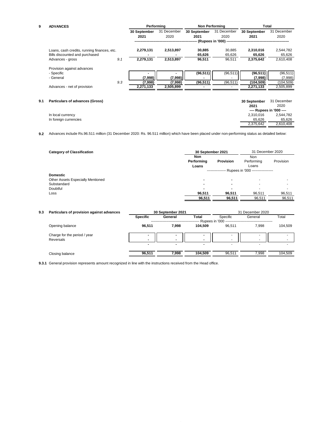| 9   | <b>ADVANCES</b>                             |     | Performina   |             |              | <b>Non Performing</b>                                | Total        |                          |
|-----|---------------------------------------------|-----|--------------|-------------|--------------|------------------------------------------------------|--------------|--------------------------|
|     |                                             |     | 30 September | 31 December | 30 September | 31 December                                          | 30 September | 31 December              |
|     |                                             |     | 2021         | 2020        | 2021         | 2020                                                 | 2021         | 2020                     |
|     |                                             |     |              |             |              | -- (Rupees in '000) -------------------------------- |              |                          |
|     | Loans, cash credits, running finances, etc. |     | 2,279,131    | 2,513,897   | 30,885       | 30,885                                               | 2,310,016    | 2,544,782                |
|     | Bills discounted and purchased              |     |              |             | 65,626       | 65,626                                               | 65,626       | 65,626                   |
|     | Advances - gross                            | 9.1 | 2,279,131    | 2,513,897   | 96,511       | 96.511                                               | 2,375,642    | 2,610,408                |
|     | Provision against advances                  |     |              |             |              |                                                      |              |                          |
|     | - Specific                                  |     |              |             | (96, 511)    | (96, 511)                                            | (96, 511)    | (96, 511)                |
|     | - General                                   |     | (7,998)      | (7,998)     |              |                                                      | (7,998)      | (7,998)                  |
|     |                                             | 9.3 | (7,998)      | (7,998)     | (96, 511)    | (96, 511)                                            | (104,509)    | (104, 509)               |
|     | Advances - net of provision                 |     | 2,271,133    | 2,505,899   |              |                                                      | 2,271,133    | 2,505,899                |
|     |                                             |     |              |             |              |                                                      |              |                          |
| 9.1 | <b>Particulars of advances (Gross)</b>      |     |              |             |              |                                                      | 30 September | 31 December              |
|     |                                             |     |              |             |              |                                                      | 2021         | 2020                     |
|     |                                             |     |              |             |              |                                                      |              | ---- Rupees in '000 ---- |
|     | In local currency                           |     |              |             |              |                                                      | 2,310,016    | 2,544,782                |

| III IUCAI CUITEIICY   |  |
|-----------------------|--|
| In foreign currencies |  |

 $\frac{65,626}{2,375,642}$   $\frac{65,626}{2,375,642}$   $\frac{65,626}{2,610,408}$  $\frac{65,626}{2,375,642}$ 

**9.2** Advances include Rs.96.511 million (31 December 2020: Rs. 96.511 million) which have been placed under non-performing status as detailed below:

| <b>Category of Classification</b> | 30 September 2021                                 |                  | 31 December 2020 |           |
|-----------------------------------|---------------------------------------------------|------------------|------------------|-----------|
|                                   | Non                                               |                  | Non              |           |
|                                   | Performing                                        | <b>Provision</b> | Performing       | Provision |
|                                   | Loans                                             |                  | Loans            |           |
|                                   | --------------- Rupees in '000 ------------------ |                  |                  |           |
| <b>Domestic</b>                   |                                                   |                  |                  |           |
| Other Assets Especially Mentioned | -                                                 |                  |                  |           |
| Substandard                       | $\blacksquare$                                    |                  |                  |           |
| Doubtful                          | -                                                 |                  |                  |           |
| Loss                              | 96,511                                            | 96,511           | 96.511           | 96,511    |
|                                   | 96,511                                            | 96,511           | 96,511           | 96,511    |
|                                   |                                                   |                  |                  |           |

| 9.3 | Particulars of provision against advances        | 30 September 2021        |                                           |                          | 31 December 2020    |                          |         |  |
|-----|--------------------------------------------------|--------------------------|-------------------------------------------|--------------------------|---------------------|--------------------------|---------|--|
|     |                                                  | <b>Specific</b>          | Total<br>General<br>- Rupees in '000 ---- |                          | Specific<br>General |                          | Total   |  |
|     | Opening balance                                  | 96.511                   | 7.998                                     | 104.509                  | 96.511              | 7.998                    | 104.509 |  |
|     | Charge for the period / year<br><b>Reversals</b> | $\overline{\phantom{a}}$ |                                           | $\overline{\phantom{a}}$ |                     | ۰.                       |         |  |
|     |                                                  |                          |                                           | -                        |                     | $\overline{\phantom{a}}$ |         |  |
|     | Closing balance                                  | 96.511                   | 7.998                                     | 104.509                  | 96.511              | 7.998                    | 104.509 |  |

**9.3.1** General provision represents amount recognized in line with the instructions received from the Head office.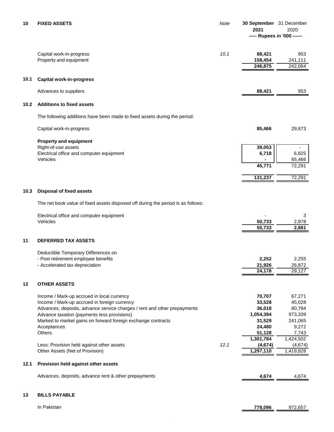| 10   | <b>FIXED ASSETS</b>                                                                                         | <b>Note</b> | 30 September 31 December<br>2021<br>----- Rupees in '000 ------ | 2020                      |
|------|-------------------------------------------------------------------------------------------------------------|-------------|-----------------------------------------------------------------|---------------------------|
|      | Capital work-in-progress<br>Property and equipment                                                          | 10.1        | 88,421<br>158,454<br>246,875                                    | 953<br>241,111<br>242,064 |
| 10.1 | <b>Capital work-in-progress</b>                                                                             |             |                                                                 |                           |
|      | Advances to suppliers                                                                                       |             | 88,421                                                          | 953                       |
| 10.2 | <b>Additions to fixed assets</b>                                                                            |             |                                                                 |                           |
|      | The following additions have been made to fixed assets during the period:                                   |             |                                                                 |                           |
|      | Capital work-in-progress                                                                                    |             | 85,466                                                          | 29,873                    |
|      | <b>Property and equipment</b>                                                                               |             |                                                                 |                           |
|      | Right-of-use assets<br>Electrical office and computer equipment                                             |             | 39,053<br>6,718                                                 | 6,825                     |
|      | Vehicles                                                                                                    |             | 45,771                                                          | 65,466<br>72,291          |
|      |                                                                                                             |             | 131,237                                                         | 72,291                    |
| 10.3 | <b>Disposal of fixed assets</b>                                                                             |             |                                                                 |                           |
|      | The net book value of fixed assets disposed off during the period is as follows:                            |             |                                                                 |                           |
|      | Electrical office and computer equipment                                                                    |             |                                                                 | 3                         |
|      | Vehicles                                                                                                    |             | 50,733                                                          | 2,878                     |
|      |                                                                                                             |             | 50,733                                                          | 2,881                     |
| 11   | <b>DEFERRED TAX ASSETS</b>                                                                                  |             |                                                                 |                           |
|      | Deductible Temporary Differences on                                                                         |             |                                                                 |                           |
|      | - Post retirement employee benefits<br>- Accelerated tax depreciation                                       |             | 2,252<br>21,926                                                 | 2,255<br>26,872           |
|      |                                                                                                             |             | 24,178                                                          | 29,127                    |
| 12   | <b>OTHER ASSETS</b>                                                                                         |             |                                                                 |                           |
|      | Income / Mark-up accrued in local currency                                                                  |             | 70,707                                                          | 67,271                    |
|      | Income / Mark-up accrued in foreign currency                                                                |             | 33,528                                                          | 45,028                    |
|      | Advances, deposits, advance service charges / rent and other prepayments                                    |             | 36,018                                                          | 80,784                    |
|      | Advance taxation (payments less provisions)<br>Marked to market gains on forward foreign exchange contracts |             | 1,054,394<br>31,529                                             | 973,339<br>241,065        |
|      | Acceptances                                                                                                 |             | 24,480                                                          | 9,272                     |
|      | <b>Others</b>                                                                                               |             | 51,128                                                          | 7,743                     |
|      |                                                                                                             |             | 1,301,784                                                       | 1,424,502                 |
|      | Less: Provision held against other assets                                                                   | 12.1        | (4, 674)                                                        | (4,674)                   |
|      | Other Assets (Net of Provision)                                                                             |             | 1,297,110                                                       | 1,419,828                 |
| 12.1 | Provision held against other assets                                                                         |             |                                                                 |                           |
|      | Advances, deposits, advance rent & other prepayments                                                        |             | 4,674                                                           | 4,674                     |
| 13   | <b>BILLS PAYABLE</b>                                                                                        |             |                                                                 |                           |

In Pakistan **778,096** 972,657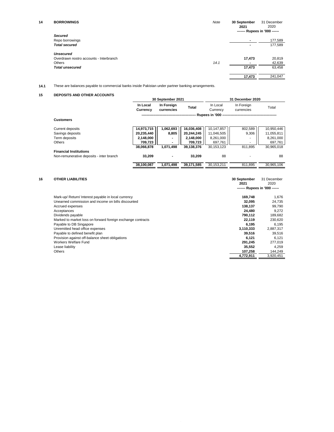| 14 | <b>BORROWINGS</b>                       | Note | 30 September<br>2021         | 31 December<br>2020 |
|----|-----------------------------------------|------|------------------------------|---------------------|
|    |                                         |      | ------ Rupees in '000 ------ |                     |
|    | <b>Secured</b>                          |      |                              |                     |
|    | Repo borrowings                         |      | $\blacksquare$               | 177,589             |
|    | <b>Total secured</b>                    |      | $\overline{\phantom{0}}$     | 177,589             |
|    | <b>Unsecured</b>                        |      |                              |                     |
|    | Overdrawn nostro accounts - Interbranch |      | 17,473                       | 20,819              |
|    | Others                                  | 14.1 | $\blacksquare$               | 42,639              |
|    | <b>Total unsecured</b>                  |      | 17,473                       | 63,458              |
|    |                                         |      | 17,473                       | 241,047             |

**14.1** These are balances payable to commercial banks inside Pakistan under partner banking arrangements.

#### **15 DEPOSITS AND OTHER ACCOUNTS**

|                                          |                      | 30 September 2021        |              |                      | 31 December 2020         |            |
|------------------------------------------|----------------------|--------------------------|--------------|----------------------|--------------------------|------------|
|                                          | In Local<br>Currency | In Foreign<br>currencies | <b>Total</b> | In Local<br>Currency | In Foreign<br>currencies | Total      |
|                                          |                      |                          |              | Rupees in '000 --    |                          |            |
| <b>Customers</b>                         |                      |                          |              |                      |                          |            |
| Current deposits                         | 14,973,715           | 1,062,693                | 16,036,408   | 10,147,857           | 802,589                  | 10,950,446 |
| Savings deposits                         | 20,235,440           | 8,805                    | 20,244,245   | 11,046,505           | 9,306                    | 11,055,811 |
| Term deposits                            | 2,148,000            |                          | 2,148,000    | 8,261,000            |                          | 8,261,000  |
| Others                                   | 709,723              |                          | 709,723      | 697,761              |                          | 697,761    |
|                                          | 38,066,878           | 1.071.498                | 39,138,376   | 30.153.123           | 811.895                  | 30,965,018 |
| <b>Financial Institutions</b>            |                      |                          |              |                      |                          |            |
| Non-remunerative deposits - inter branch | 33.209               | ۰                        | 33.209       | 88                   |                          | 88         |
|                                          | 38,100,087           | 1,071,498                | 39,171,585   | 30.153.211           | 811.895                  | 30.965.106 |

| 16 | <b>OTHER LIABILITIES</b>                                    | 30 September<br>2021<br>------- Rupees in '000 ------ | 31 December<br>2020 |
|----|-------------------------------------------------------------|-------------------------------------------------------|---------------------|
|    | Mark-up/Return/Interest payable in local currency           | 169,748                                               | 1,676               |
|    | Unearned commission and income on bills discounted          | 32.095                                                | 24,735              |
|    | Accrued expenses                                            | 138,137                                               | 99,790              |
|    | Acceptances                                                 | 24.480                                                | 9,272               |
|    | Dividends payable                                           | 790.112                                               | 189,682             |
|    | Marked to market loss on forward foreign exchange contracts | 22.119                                                | 230,620             |
|    | Payable to DB Singapore                                     | 6.195                                                 | 6.195               |
|    | Unremitted head office expenses                             | 3,110,333                                             | 2,887,317           |
|    | Payable to defined benefit plan                             | 39.516                                                | 39,516              |
|    | Provision against off-balance sheet obligations             | 6.121                                                 | 6.121               |
|    | Workers Welfare Fund                                        | 291.245                                               | 277,019             |
|    | Lease liability                                             | 35.552                                                | 4.259               |
|    | <b>Others</b>                                               | 107,258                                               | 144,249             |
|    |                                                             | 4.772.911                                             | 3,920,451           |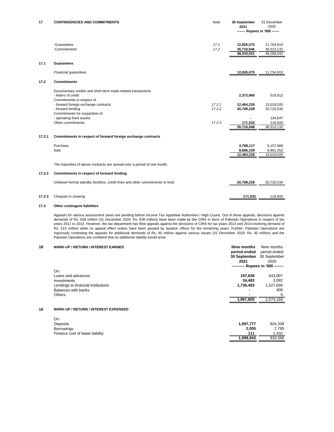| 17     | <b>CONTINGENCIES AND COMMITMENTS</b>                                          | Note             | 30 September<br>2021          | 31 December<br>2020 |
|--------|-------------------------------------------------------------------------------|------------------|-------------------------------|---------------------|
|        |                                                                               |                  | ------- Rupees in '000 ------ |                     |
|        | -Guarantees                                                                   | 17.1             | 12,826,075                    | 11,754,910          |
|        | -Commitments                                                                  | 17.2             | 35,716,946                    | 36,513,132          |
|        |                                                                               |                  | 48,543,021                    | 48,268,042          |
| 17.1   | <b>Guarantees</b>                                                             |                  |                               |                     |
|        | Financial guarantees                                                          |                  | 12,826,075                    | 11,754,910          |
| 17.2   | <b>Commitments</b>                                                            |                  |                               |                     |
|        | Documentary credits and short-term trade-related transactions                 |                  |                               |                     |
|        | - letters of credit                                                           |                  | 2,372,960                     | 519,812             |
|        | Commitments in respect of:                                                    |                  |                               |                     |
|        | - forward foreign exchange contracts                                          | 17.2.1<br>17.2.2 | 12,464,226                    | 15,019,020          |
|        | - forward lending<br>Commitments for acquisition of:                          |                  | 20,708,228                    | 20,720,534          |
|        | - operating fixed assets                                                      |                  |                               | 134,847             |
|        | Other commitments                                                             | 17.2.3           | 171,532                       | 118,920             |
|        |                                                                               |                  | 35,716,946                    | 36,513,132          |
| 17.2.1 | Commitments in respect of forward foreign exchange contracts                  |                  |                               |                     |
|        | Purchase                                                                      |                  | 3,798,117                     | 5,157,668           |
|        | Sale                                                                          |                  | 8,666,109                     | 9,861,352           |
|        |                                                                               |                  | 12,464,226                    | 15,019,020          |
|        | The maturities of above contracts are spread over a period of one month.      |                  |                               |                     |
| 17.2.2 | Commitments in respect of forward lending                                     |                  |                               |                     |
|        | Undrawn formal standby facilities, credit lines and other commitments to lend |                  | 20,708,228                    | 20,720,534          |
|        |                                                                               |                  |                               |                     |
| 17.2.3 | Cheques in clearing                                                           |                  | 171.532                       | 118.920             |

#### **17.3 Other contingent liabilities**

Appeals for various assessment years are pending before Income Tax Appellate Authorities / High Courts. Out of these appeals, decisions against demands of Rs. 638 million (31 December 2020: Rs. 638 million) have been made by the CIRA in favor of Pakistan Operations in respect of tax years 2011 to 2014. However, the tax department has filed appeals against the decisions of CIRA for tax years 2013 and 2014 involving demand of Rs. 513 million while no appeal effect orders have been passed by taxation officer for the remaining years. Further, Pakistan Operations are vigorously contesting the appeals for additional demands of Rs. 45 million against various issues (31 December 2020: Rs. 45 million) and the Pakistan Operations are confident that no additional liability would arise.

#### **18 MARK-UP / RETURN / INTEREST EARNED Nine months** Nine months

| period ended | period ended                     |
|--------------|----------------------------------|
|              | 30 September 30 September        |
| 2021         |                                  |
|              | --------- Rupees in '000 ------- |
|              |                                  |
| 197.839      | 543.007                          |
| 34.483       | 3.092                            |
| 1,735,483    | 1,527,656                        |
|              | 400                              |
| -            | 5                                |
| 1.967.805    | 2.074.160                        |
|              |                                  |

#### **19 MARK-UP / RETURN / INTEREST EXPENSED**

| On:                             |           |         |
|---------------------------------|-----------|---------|
| Deposits                        | 1.097.777 | 924.339 |
| <b>Borrowings</b>               | 2.055     | 7.795   |
| Finance cost of lease liability | 111       | 1.432   |
|                                 | 1,099,943 | 933.566 |
|                                 |           |         |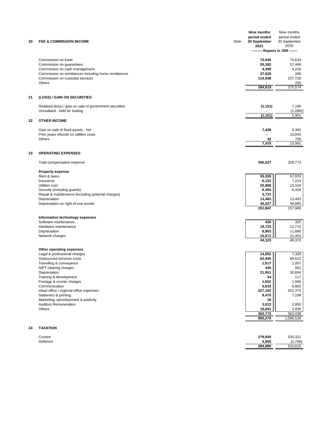| 20 | <b>FEE &amp; COMMISSION INCOME</b>                        | Note | Nine months<br>period ended<br>30 September<br>2021 | Nine months<br>period ended<br>30 September<br>2020<br>-------- Rupees in '000 ------- |
|----|-----------------------------------------------------------|------|-----------------------------------------------------|----------------------------------------------------------------------------------------|
|    |                                                           |      |                                                     |                                                                                        |
|    | Commission on trade                                       |      | 72,945                                              | 75,633                                                                                 |
|    | Commission on guarantees<br>Commission on cash management |      | 55,392<br>4,308                                     | 57,469<br>4,216                                                                        |
|    | Commission on remittances including home remittances      |      | 37,626                                              | 286                                                                                    |
|    | Commission on custodial services                          |      | 114,548                                             | 237,720                                                                                |
|    | Others                                                    |      |                                                     | 250                                                                                    |
|    |                                                           |      | 284,819                                             | 375,574                                                                                |
| 21 | (LOSS) / GAIN ON SECURITIES                               |      |                                                     |                                                                                        |
|    | Realised (loss) / gain on sale of government securities   |      | (1, 151)                                            | 7,190                                                                                  |
|    | Unrealised - held for trading                             |      |                                                     | (1, 289)                                                                               |
|    |                                                           |      | (1,151)                                             | 5,901                                                                                  |
| 22 | <b>OTHER INCOME</b>                                       |      |                                                     |                                                                                        |
|    | Gain on sale of fixed assets - net                        |      | 7,438                                               | 9,392                                                                                  |
|    | Prior years refunds on utilities costs                    |      |                                                     | 13,843                                                                                 |
|    | Others                                                    |      | 32                                                  | 756                                                                                    |
|    |                                                           |      | 7,470                                               | 23,991                                                                                 |
| 23 | <b>OPERATING EXPENSES</b>                                 |      |                                                     |                                                                                        |
|    | Total compensation expense                                |      | 390,527                                             | 328,773                                                                                |
|    | <b>Property expense</b>                                   |      |                                                     |                                                                                        |
|    | Rent & taxes                                              |      | 55,326                                              | 67,833                                                                                 |
|    | Insurance<br>Utilities cost                               |      | 6,152<br>25,868                                     | 7,214<br>13,104                                                                        |
|    | Security (including guards)                               |      | 6,454                                               | 6,426                                                                                  |
|    | Repair & maintenance (including janitorial charges)       |      | 3,737                                               |                                                                                        |
|    | Depreciation                                              |      | 13,483                                              | 13,483                                                                                 |
|    | Depreciation on right-of-use assets                       |      | 40,827<br>151,847                                   | 49,885<br>157,945                                                                      |
|    |                                                           |      |                                                     |                                                                                        |
|    | Information technology expenses                           |      |                                                     |                                                                                        |
|    | Software maintenance<br>Hardware maintenance              |      | 426<br>19,723                                       | 325<br>12,710                                                                          |
|    | Depreciation                                              |      | 8,903                                               | 11,880                                                                                 |
|    | Network charges                                           |      | 15,071                                              | 21,455                                                                                 |
|    |                                                           |      | 44,123                                              | 46,370                                                                                 |
|    | Other operating expenses                                  |      |                                                     |                                                                                        |
|    | Legal & professional charges<br>Outsourced services costs |      | 14,052<br>62,945                                    | 7,329<br>69,522                                                                        |
|    | Travelling & conveyance                                   |      | 1,617                                               | 2,057                                                                                  |
|    | NIFT clearing charges                                     |      | 445                                                 | 651                                                                                    |
|    | Depreciation                                              |      | 21,951                                              | 30,694                                                                                 |
|    | Training & development                                    |      | 34                                                  | 117                                                                                    |
|    | Postage & courier charges<br>Communication                |      | 1,602<br>5,633                                      | 1,006<br>6,802                                                                         |
|    | Head office / regional office expenses                    |      | 227,152                                             | 431,375                                                                                |
|    | Stationery & printing                                     |      | 9,470                                               | 7,199                                                                                  |
|    | Marketing, advertisement & publicity                      |      | 18                                                  |                                                                                        |
|    | <b>Auditors Remuneration</b>                              |      | 3,013                                               | 2,850                                                                                  |
|    | Others                                                    |      | 15,841<br>363,773                                   | 3,836<br>563,438                                                                       |
|    |                                                           |      | 950,270                                             | 1,096,526                                                                              |
|    |                                                           |      |                                                     |                                                                                        |
| 24 | <b>TAXATION</b>                                           |      |                                                     |                                                                                        |

| Current  | 279,930 | 535,321 |
|----------|---------|---------|
| Deferred | 4.950   | (2,706) |
|          | 284,880 | 532,615 |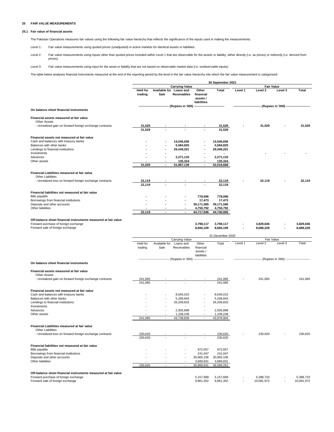#### **25 FAIR VALUE MEASUREMENTS**

#### **25.1 Fair value of financial assets**

The Pakistan Operations measures fair values using the following fair value hierarchy that reflects the significance of the inputs used in making the measurements:

Level 1: Fair value measurements using quoted prices (unadjusted) in active markets for identical assets or liabilities.

Level 2: Fair value measurements using inputs other than quoted prices included within Level 1 that are observable for the assets or liability, either directly (i.e. as prices) or indirectly (i.e. derived from prices).

Level 3: Fair value measurements using input for the asset or liability that are not based on observable market data (i.e. unobservable inputs).

The table below analyses financial instruments measured at the end of the reporting period by the level in the fair value hierarchy into which the fair value measurement is categorised:

|                                                                                                        | 30 September 2021          |               |                                                          |                                              |                         |         |                                                                     |         |           |
|--------------------------------------------------------------------------------------------------------|----------------------------|---------------|----------------------------------------------------------|----------------------------------------------|-------------------------|---------|---------------------------------------------------------------------|---------|-----------|
|                                                                                                        |                            |               | <b>Carrying Value</b>                                    |                                              |                         |         | <b>Fair Value</b>                                                   |         |           |
|                                                                                                        | <b>Held for</b><br>trading | Sale          | Available for Loans and<br><b>Receivables</b>            | Other<br>financial<br>assets/<br>liabilities | Total                   | Level 1 | Level 2                                                             | Level 3 | Total     |
| On balance sheet financial instruments                                                                 |                            |               | ------------------------ (Rupees in '000) -------------  |                                              |                         |         | -------------------------- (Rupees in '000) ----------------------- |         |           |
|                                                                                                        |                            |               |                                                          |                                              |                         |         |                                                                     |         |           |
| Financial assets measured at fair value<br><b>Other Assets</b>                                         |                            |               |                                                          |                                              |                         |         |                                                                     |         |           |
| - Unrealized gain on forward foreign exchange contracts                                                | 31,529<br>31,529           |               |                                                          |                                              | 31,529<br>31,529        |         | 31,529                                                              |         | 31,529    |
| Financial assets not measured at fair value                                                            |                            |               |                                                          |                                              |                         |         |                                                                     |         |           |
| Cash and balances with treasury banks                                                                  |                            |               | 14,546,656                                               |                                              | 14,546,656              |         |                                                                     |         |           |
| Balances with other banks                                                                              |                            |               | 5,584,825                                                |                                              | 5,584,825               |         |                                                                     |         |           |
| Lendings to financial institutions                                                                     |                            |               | 29,449,201                                               |                                              | 29,449,201              |         |                                                                     |         |           |
| Investments<br>Advances                                                                                |                            |               |                                                          |                                              |                         |         |                                                                     |         |           |
| Other assets                                                                                           |                            |               | 2,271,133<br>135,324                                     |                                              | 2,271,133<br>135,324    |         |                                                                     |         |           |
|                                                                                                        | 31,529                     |               | 51,987,139                                               | $\overline{\phantom{a}}$                     | 52,018,668              |         |                                                                     |         |           |
| Financial Liabilities measured at fair value                                                           |                            |               |                                                          |                                              |                         |         |                                                                     |         |           |
| <b>Other Liabilities</b>                                                                               |                            |               |                                                          |                                              |                         |         |                                                                     |         |           |
| - Unrealized loss on forward foreign exchange contracts                                                | 22,119                     |               |                                                          |                                              | 22,119                  |         | 22,119                                                              |         | 22,119    |
|                                                                                                        | 22,119                     |               |                                                          |                                              | 22,119                  |         |                                                                     |         |           |
| Financial liabilities not measured at fair value                                                       |                            |               |                                                          |                                              |                         |         |                                                                     |         |           |
| <b>Bills payable</b>                                                                                   |                            |               |                                                          | 778,096                                      | 778,096                 |         |                                                                     |         |           |
| Borrowings from financial institutions                                                                 |                            |               |                                                          | 17,473                                       | 17,473                  |         |                                                                     |         |           |
| Deposits and other accounts                                                                            |                            |               |                                                          | 39,171,585                                   | 39,171,585              |         |                                                                     |         |           |
| Other liabilities                                                                                      |                            |               |                                                          | 4,750,792                                    | 4,750,792               |         |                                                                     |         |           |
|                                                                                                        | 22.119                     |               |                                                          | 44.717.946                                   | 44.740.065              |         |                                                                     |         |           |
| Off-balance sheet financial instruments measured at fair value                                         |                            |               |                                                          |                                              |                         |         |                                                                     |         |           |
| Forward purchase of foreign exchange                                                                   |                            |               |                                                          | 3,798,117                                    | 3,798,117               |         | 3,829,646                                                           |         | 3,829,646 |
| Forward sale of foreign exchange                                                                       |                            |               |                                                          | 8,666,109                                    | 8,666,109               |         | 8,688,228                                                           |         | 8,688,228 |
|                                                                                                        |                            |               |                                                          |                                              | 31 December 2020        |         |                                                                     |         |           |
|                                                                                                        |                            |               |                                                          |                                              |                         |         |                                                                     |         |           |
|                                                                                                        |                            |               | Carrying Value                                           |                                              |                         |         | Fair Value                                                          |         |           |
|                                                                                                        | Held for                   | Available for | Loans and                                                | Other                                        | Total                   | Level 1 | Level 2                                                             | Level 3 | Total     |
|                                                                                                        | trading                    | Sale          | Receivables                                              | financial<br>assets /                        |                         |         |                                                                     |         |           |
|                                                                                                        |                            |               | --------- (Rupees in '000) ----------------------------- | liabilities                                  |                         |         | -------------------------- (Rupees in '000) ----------------------- |         |           |
| On balance sheet financial instruments                                                                 |                            |               |                                                          |                                              |                         |         |                                                                     |         |           |
| Financial assets measured at fair value                                                                |                            |               |                                                          |                                              |                         |         |                                                                     |         |           |
| <b>Other Assets</b>                                                                                    |                            |               |                                                          |                                              |                         |         |                                                                     |         |           |
| - Unrealized gain on forward foreign exchange contracts                                                | 241,065                    |               |                                                          |                                              | 241,065                 |         | 241,065                                                             |         | 241,065   |
|                                                                                                        | 241,065                    |               |                                                          |                                              | 241,065                 |         |                                                                     |         |           |
| Financial assets not measured at fair value                                                            |                            |               |                                                          |                                              |                         |         |                                                                     |         |           |
| Cash and balances with treasury banks                                                                  |                            |               | 8,645,015                                                |                                              | 8,645,015               |         |                                                                     |         |           |
| Balances with other banks                                                                              |                            |               | 5,268,843                                                |                                              | 5,268,843               |         |                                                                     |         |           |
| Lendings to financial institutions                                                                     |                            |               | 26,209,833                                               |                                              | 26,209,833              |         |                                                                     |         |           |
| Investments                                                                                            |                            |               |                                                          |                                              |                         |         |                                                                     |         |           |
| Advances                                                                                               |                            |               | 2,505,899                                                |                                              | 2,505,899               |         |                                                                     |         |           |
| Other assets                                                                                           | 241.065                    |               | 1,109,249<br>43,738,839                                  |                                              | 1,109,249<br>43,979,904 |         |                                                                     |         |           |
|                                                                                                        |                            |               |                                                          |                                              |                         |         |                                                                     |         |           |
| Financial Liabilities measured at fair value                                                           |                            |               |                                                          |                                              |                         |         |                                                                     |         |           |
| <b>Other Liabilities</b><br>- Unrealized loss on forward foreign exchange contracts                    | 230,620                    |               |                                                          |                                              |                         |         |                                                                     |         | 230,620   |
|                                                                                                        | 230,620                    |               |                                                          |                                              | 230,620<br>230,620      |         | 230,620                                                             |         |           |
|                                                                                                        |                            |               |                                                          |                                              |                         |         |                                                                     |         |           |
| Financial liabilities not measured at fair value                                                       |                            |               |                                                          |                                              |                         |         |                                                                     |         |           |
| <b>Bills payable</b>                                                                                   |                            |               |                                                          | 972,657                                      | 972,657                 |         |                                                                     |         |           |
| Borrowings from financial institutions<br>Deposits and other accounts                                  |                            |               |                                                          | 241,047                                      | 241,047                 |         |                                                                     |         |           |
| Other liabilities                                                                                      |                            |               |                                                          | 30,965,106                                   | 30,965,106<br>3,689,831 |         |                                                                     |         |           |
|                                                                                                        | 230,620                    |               |                                                          | 3,689,831<br>35,868,641                      | 36,099,261              |         |                                                                     |         |           |
|                                                                                                        |                            |               |                                                          |                                              |                         |         |                                                                     |         |           |
| Off-balance sheet financial instruments measured at fair value<br>Forward purchase of foreign exchange |                            |               |                                                          | 5,157,668                                    | 5,157,668               |         | 5,398,733                                                           |         | 5,398,733 |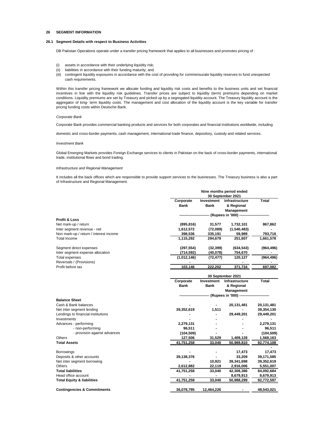#### **26 SEGMENT INFORMATION**

#### **26.1 Segment Details with respect to Business Activities**

DB Pakistan Operations operate under a transfer pricing framework that applies to all businesses and promotes pricing of :

- (i) assets in accordance with their underlying liquidity risk;
- (ii) liabilities in accordance with their funding maturity; and
- (iii) contingent liquidity exposures in accordance with the cost of providing for commensurate liquidity reserves to fund unexpected cash requirements.

Within this transfer pricing framework we allocate funding and liquidity risk costs and benefits to the business units and set financial incentives in line with the liquidity risk guidelines. Transfer prices are subject to liquidity (term) premiums depending on market conditions. Liquidity premiums are set by Treasury and picked up by a segregated liquidity account. The Treasury liquidity account is the aggregator of long- term liquidity costs. The management and cost allocation of the liquidity account is the key variable for transfer pricing funding costs within Deutsche Bank.

#### *Corporate Bank*

Corporate Bank provides commercial banking products and services for both corporates and financial institutions worldwide, including

domestic and cross-border payments, cash management, international trade finance, depository, custody and related services.

#### *Investment Bank*

Global Emerging Markets provides Foreign Exchange services to clients in Pakistan on the back of cross-border payments, international trade, institutional flows and bond trading.

#### *Infrastructure and Regional Management*

It includes all the back offices which are responsible to provide support services to the businesses. The Treasury business is also a part of Infrastructure and Regional Management.

|                                        | Nine months period ended |                          |                                         |              |
|----------------------------------------|--------------------------|--------------------------|-----------------------------------------|--------------|
|                                        |                          |                          | 30 September 2021                       |              |
|                                        | Corporate                | Investment               | Infrastructure                          | <b>Total</b> |
|                                        | Bank                     | Bank                     | & Regional                              |              |
|                                        |                          |                          | Management<br>- (Rupees in '000) ------ |              |
| <b>Profit &amp; Loss</b>               |                          |                          |                                         |              |
| Net mark-up / return                   | (895, 816)               | 31,577                   | 1,732,101                               | 867,862      |
| Inter segment revenue - net            | 1,612,572                | (72,089)                 | (1,540,483)                             |              |
| Non mark-up / return / interest income | 398,536                  | 335,191                  | 59,989                                  | 793,716      |
| <b>Total Income</b>                    | 1,115,292                | 294,679                  | 251,607                                 | 1,661,578    |
|                                        |                          |                          |                                         |              |
| Segment direct expenses                | (297, 554)               | (32, 399)                | (634, 543)                              | (964, 496)   |
| Inter segment expense allocation       | (714, 592)               | (40, 078)                | 754,670                                 |              |
| <b>Total expenses</b>                  | (1,012,146)              | (72, 477)                | 120,127                                 | (964, 496)   |
| Reversals / (Provisions)               |                          |                          |                                         |              |
| Profit before tax                      | 103,146                  | 222,202                  | 371,734                                 | 697,082      |
|                                        |                          |                          | 30 September 2021                       |              |
|                                        | Corporate                | Investment               | Infrastructure                          | Total        |
|                                        | <b>Bank</b>              | Bank                     | & Regional                              |              |
|                                        |                          |                          | Management                              |              |
|                                        |                          |                          | -- (Rupees in '000) ------              |              |
| <b>Balance Sheet</b>                   |                          |                          |                                         |              |
| Cash & Bank balances                   |                          |                          | 20,131,481                              | 20,131,481   |
| Net inter segment lending              | 39,352,619               | 1,511                    |                                         | 39,354,130   |
| Lendings to financial institutions     |                          |                          | 29,449,201                              | 29,449,201   |
| Investments                            |                          |                          |                                         |              |
| Advances - performing                  | 2,279,131                |                          |                                         | 2,279,131    |
| - non-performing                       | 96,511                   |                          |                                         | 96,511       |
| - provision against advances           | (104, 509)               |                          |                                         | (104, 509)   |
| Others                                 | 127,506                  | 31,529                   | 1,409,128                               | 1,568,163    |
| <b>Total Assets</b>                    | 41,751,258               | 33,040                   | 50,989,810                              | 92,774,108   |
|                                        |                          |                          |                                         |              |
| Borrowings                             |                          |                          | 17,473                                  | 17,473       |
| Deposits & other accounts              | 39,138,376               | $\blacksquare$           | 33,209                                  | 39,171,585   |
| Net inter segment borrowing            |                          | 10,921                   | 39,341,698                              | 39,352,619   |
| <b>Others</b>                          | 2,612,882                | 22,119                   | 2,916,006                               | 5,551,007    |
| <b>Total liabilities</b>               | 41,751,258               | 33,040                   | 42,308,386                              | 84,092,684   |
| Head office account                    |                          | $\overline{\phantom{a}}$ | 8,679,913                               | 8,679,913    |
| <b>Total Equity &amp; liabilities</b>  | 41,751,258               | 33,040                   | 50,988,299                              | 92,772,597   |
| <b>Contingencies &amp; Commitments</b> | 36,078,795               | 12,464,226               |                                         | 48,543,021   |
|                                        |                          |                          |                                         |              |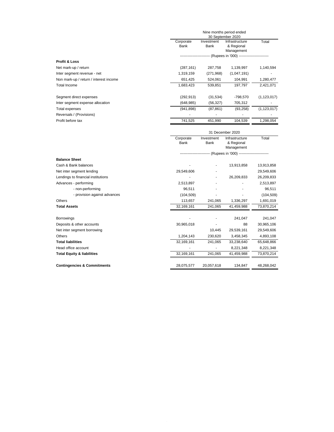|                                        | Nine months period ended<br>30 September 2020 |            |                                               |               |  |
|----------------------------------------|-----------------------------------------------|------------|-----------------------------------------------|---------------|--|
|                                        | Corporate                                     | Investment | Infrastructure                                | Total         |  |
|                                        | Bank                                          | Bank       | & Regional                                    |               |  |
|                                        |                                               |            | Management                                    |               |  |
|                                        | ---------------------                         |            | --- (Rupees in '000) ------------------------ |               |  |
| <b>Profit &amp; Loss</b>               |                                               |            |                                               |               |  |
| Net mark-up / return                   | (287, 161)                                    | 287,758    | 1,139,997                                     | 1,140,594     |  |
| Inter segment revenue - net            | 1,319,159                                     | (271,968)  | (1,047,191)                                   |               |  |
| Non mark-up / return / interest income | 651,425                                       | 524,061    | 104,991                                       | 1,280,477     |  |
| Total Income                           | 1,683,423                                     | 539,851    | 197,797                                       | 2,421,071     |  |
| Segment direct expenses                | (292, 913)                                    | (31, 534)  | -798,570                                      | (1, 123, 017) |  |
| Inter segment expense allocation       | (648, 985)                                    | (56, 327)  | 705,312                                       |               |  |
| Total expenses                         | (941, 898)                                    | (87, 861)  | (93, 258)                                     | (1, 123, 017) |  |
| Reversals / (Provisions)               |                                               | ۰          | ٠                                             |               |  |
| Profit before tax                      | 741.525                                       | 451.990    | 104.539                                       | 1.298.054     |  |

|                                        | 31 December 2020                                                   |                    |                                            |            |  |  |
|----------------------------------------|--------------------------------------------------------------------|--------------------|--------------------------------------------|------------|--|--|
|                                        | Corporate<br>Bank                                                  | Investment<br>Bank | Infrastructure<br>& Regional<br>Management | Total      |  |  |
|                                        | -- (Rupees in '000) ------------------------<br>------------------ |                    |                                            |            |  |  |
| <b>Balance Sheet</b>                   |                                                                    |                    |                                            |            |  |  |
| Cash & Bank balances                   |                                                                    |                    | 13,913,858                                 | 13,913,858 |  |  |
| Net inter segment lending              | 29,549,606                                                         |                    |                                            | 29,549,606 |  |  |
| Lendings to financial institutions     |                                                                    |                    | 26,209,833                                 | 26,209,833 |  |  |
| Advances - performing                  | 2,513,897                                                          |                    |                                            | 2,513,897  |  |  |
| - non-performing                       | 96,511                                                             |                    |                                            | 96,511     |  |  |
| - provision against advances           | (104, 509)                                                         |                    |                                            | (104, 509) |  |  |
| Others                                 | 113,657                                                            | 241,065            | 1,336,297                                  | 1,691,019  |  |  |
| <b>Total Assets</b>                    | 32,169,161                                                         | 241,065            | 41,459,988                                 | 73,870,214 |  |  |
| <b>Borrowings</b>                      |                                                                    |                    | 241,047                                    | 241,047    |  |  |
| Deposits & other accounts              | 30,965,018                                                         |                    | 88                                         | 30,965,106 |  |  |
| Net inter segment borrowing            |                                                                    | 10,445             | 29,539,161                                 | 29,549,606 |  |  |
| Others                                 | 1,204,143                                                          | 230,620            | 3,458,345                                  | 4,893,108  |  |  |
| <b>Total liabilities</b>               | 32,169,161                                                         | 241,065            | 33,238,640                                 | 65,648,866 |  |  |
| Head office account                    |                                                                    |                    | 8,221,348                                  | 8,221,348  |  |  |
| <b>Total Equity &amp; liabilities</b>  | 32,169,161                                                         | 241,065            | 41,459,988                                 | 73,870,214 |  |  |
| <b>Contingencies &amp; Commitments</b> | 28,075,577                                                         | 20,057,618         | 134,847                                    | 48,268,042 |  |  |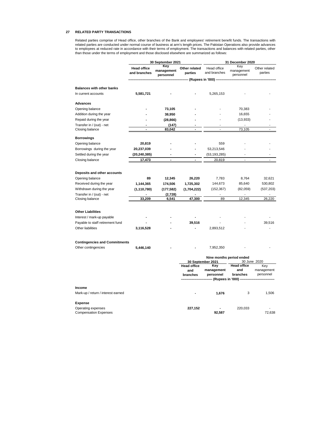#### **27 RELATED PARTY TRANSACTIONS**

Related parties comprise of Head office, other branches of the Bank and employees' retirement benefit funds. The transactions with<br>related parties are conducted under normal course of business at arm's length prices. The P than those under the terms of employment and those disclosed elsewhere are summarized as follows:

|                                                             | 30 September 2021                  |                                |                           | 31 December 2020            |                                |                          |
|-------------------------------------------------------------|------------------------------------|--------------------------------|---------------------------|-----------------------------|--------------------------------|--------------------------|
|                                                             | <b>Head office</b><br>and branches | Key<br>management<br>personnel | Other related<br>parties  | Head office<br>and branches | Key<br>management<br>personnel | Other related<br>parties |
|                                                             |                                    |                                |                           | (Rupees in '000) --         |                                |                          |
| <b>Balances with other banks</b>                            |                                    |                                |                           |                             |                                |                          |
| In current accounts                                         | 5,581,721                          |                                |                           | 5,265,153                   |                                |                          |
|                                                             |                                    |                                |                           |                             |                                |                          |
| <b>Advances</b>                                             |                                    |                                |                           |                             |                                |                          |
| Opening balance                                             |                                    | 73,105                         |                           |                             | 70,383                         |                          |
| Addition during the year                                    |                                    | 38,950                         |                           |                             | 16,655                         |                          |
| Repaid during the year                                      |                                    | (28, 866)                      |                           |                             | (13, 933)                      |                          |
| Transfer in / (out) - net                                   |                                    | (147)                          |                           |                             | $\overline{a}$                 |                          |
| Closing balance                                             |                                    | 83,042                         |                           |                             | 73,105                         |                          |
| <b>Borrowings</b>                                           |                                    |                                |                           |                             |                                |                          |
| Opening balance                                             | 20,819                             |                                |                           | 559                         |                                |                          |
| Borrowings during the year                                  | 20,237,039                         |                                |                           | 53,213,546                  |                                |                          |
| Settled during the year                                     | (20,240,385)                       |                                |                           | (53, 193, 285)              |                                |                          |
| Closing balance                                             | 17,473                             |                                |                           | 20,819                      |                                |                          |
|                                                             |                                    |                                |                           |                             |                                |                          |
| Deposits and other accounts                                 |                                    |                                |                           |                             |                                |                          |
| Opening balance                                             | 89                                 | 12,345                         | 26,220                    | 7,783                       | 8,764                          | 32,621                   |
| Received during the year                                    | 1,144,365                          | 174,506                        | 1,725,302                 | 144,673                     | 85,640                         | 530,802                  |
| Withdrawn during the year                                   | (1, 110, 780)                      | (177, 582)                     | (1,704,222)               | (152, 367)                  | (82,059)                       | (537,203)                |
| Transfer in / (out) - net                                   |                                    | (2,728)                        |                           |                             |                                |                          |
| Closing balance                                             | 33,209                             | 6,541                          | 47,300                    | 89                          | 12,345                         | 26,220                   |
|                                                             |                                    |                                |                           |                             |                                |                          |
| <b>Other Liabilities</b>                                    |                                    |                                |                           |                             |                                |                          |
| Interest / mark-up payable                                  |                                    |                                |                           |                             |                                |                          |
| Payable to staff retirement fund                            |                                    |                                | 39,516                    |                             |                                | 39,516                   |
| Other liabilities                                           | 3,116,528                          |                                | $\overline{\phantom{a}}$  | 2,893,512                   |                                |                          |
|                                                             |                                    |                                |                           |                             |                                |                          |
|                                                             |                                    |                                |                           |                             |                                |                          |
| <b>Contingencies and Commitments</b><br>Other contingencies | 5,446,140                          |                                |                           | 7,952,350                   |                                |                          |
|                                                             |                                    |                                |                           |                             |                                |                          |
|                                                             |                                    |                                |                           |                             | Nine months period ended       |                          |
|                                                             |                                    |                                |                           | 30 September 2021           |                                | 30 June 2020             |
|                                                             |                                    |                                | <b>Head office</b><br>and | Key<br>management           | <b>Head office</b><br>and      | Key<br>management        |
|                                                             |                                    |                                | branches                  | personnel                   | branches                       | personnel                |
|                                                             |                                    |                                |                           | (Rupees in '000) -          |                                |                          |
|                                                             |                                    |                                |                           |                             |                                |                          |
| Income                                                      |                                    |                                |                           |                             |                                |                          |
| Mark-up / return / interest earned                          |                                    |                                |                           | 1,676                       | 3                              | 1,506                    |
| <b>Expense</b>                                              |                                    |                                |                           |                             |                                |                          |
| Operating expenses                                          |                                    |                                | 227,152                   |                             | 220,033                        |                          |
| <b>Compensation Expenses</b>                                |                                    |                                |                           | 92,587                      |                                | 72,638                   |
|                                                             |                                    |                                |                           |                             |                                |                          |